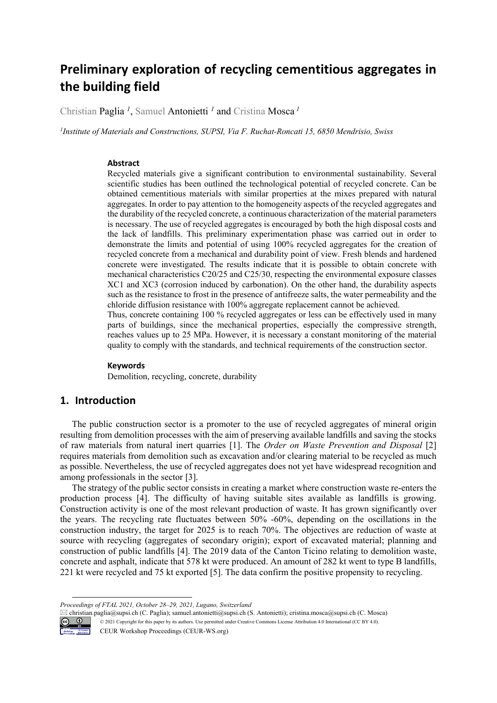# **Preliminary exploration of recycling cementitious aggregates in the building field**

Christian Paglia *<sup>1</sup>*, Samuel Antonietti *<sup>1</sup>* and Cristina Mosca *<sup>1</sup>*

*1 Institute of Materials and Constructions, SUPSI, Via F. Ruchat-Roncati 15, 6850 Mendrisio, Swiss* 

#### **Abstract**

Recycled materials give a significant contribution to environmental sustainability. Several scientific studies has been outlined the technological potential of recycled concrete. Can be obtained cementitious materials with similar properties at the mixes prepared with natural aggregates. In order to pay attention to the homogeneity aspects of the recycled aggregates and the durability of the recycled concrete, a continuous characterization of the material parameters is necessary. The use of recycled aggregates is encouraged by both the high disposal costs and the lack of landfills. This preliminary experimentation phase was carried out in order to demonstrate the limits and potential of using 100% recycled aggregates for the creation of recycled concrete from a mechanical and durability point of view. Fresh blends and hardened concrete were investigated. The results indicate that it is possible to obtain concrete with mechanical characteristics C20/25 and C25/30, respecting the environmental exposure classes XC1 and XC3 (corrosion induced by carbonation). On the other hand, the durability aspects such as the resistance to frost in the presence of antifreeze salts, the water permeability and the chloride diffusion resistance with 100% aggregate replacement cannot be achieved.

Thus, concrete containing 100 % recycled aggregates or less can be effectively used in many parts of buildings, since the mechanical properties, especially the compressive strength, reaches values up to 25 MPa. However, it is necessary a constant monitoring of the material quality to comply with the standards, and technical requirements of the construction sector.

#### **Keywords 1**

Demolition, recycling, concrete, durability

# **1. Introduction**

The public construction sector is a promoter to the use of recycled aggregates of mineral origin resulting from demolition processes with the aim of preserving available landfills and saving the stocks of raw materials from natural inert quarries [1]. The *Order on Waste Prevention and Disposal* [2] requires materials from demolition such as excavation and/or clearing material to be recycled as much as possible. Nevertheless, the use of recycled aggregates does not yet have widespread recognition and among professionals in the sector [3].

The strategy of the public sector consists in creating a market where construction waste re-enters the production process [4]. The difficulty of having suitable sites available as landfills is growing. Construction activity is one of the most relevant production of waste. It has grown significantly over the years. The recycling rate fluctuates between 50% -60%, depending on the oscillations in the construction industry, the target for 2025 is to reach 70%. The objectives are reduction of waste at source with recycling (aggregates of secondary origin); export of excavated material; planning and construction of public landfills [4]. The 2019 data of the Canton Ticino relating to demolition waste, concrete and asphalt, indicate that 578 kt were produced. An amount of 282 kt went to type B landfills, 221 kt were recycled and 75 kt exported [5]. The data confirm the positive propensity to recycling.

 christian.paglia@supsi.ch (C. Paglia); samuel.antonietti@supsi.ch (S. Antonietti); cristina.mosca@supsi.ch (C. Mosca) © 2021 Copyright for this paper by its authors. Use permitted under Creative Commons License Attribution 4.0 International (CC BY 4.0).



-

CEUR Workshop Proceedings (CEUR-WS.org)

*Proceedings of FTAL 2021, October 28–29, 2021, Lugano, Switzerland*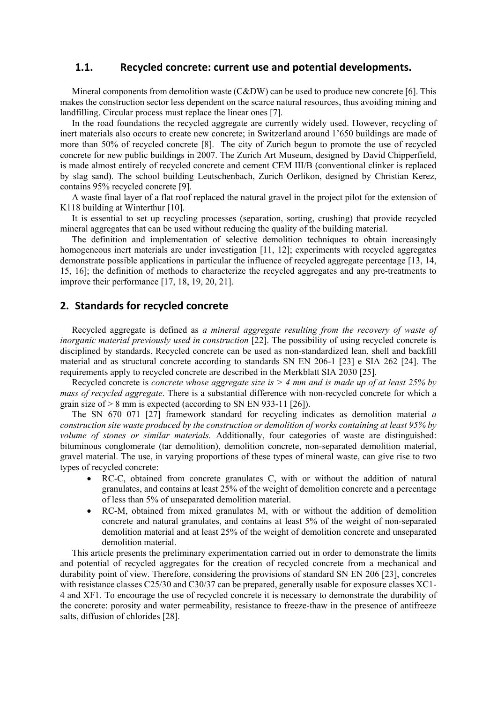## **1.1. Recycled concrete: current use and potential developments.**

Mineral components from demolition waste  $(C&DW)$  can be used to produce new concrete [6]. This makes the construction sector less dependent on the scarce natural resources, thus avoiding mining and landfilling. Circular process must replace the linear ones [7].

In the road foundations the recycled aggregate are currently widely used. However, recycling of inert materials also occurs to create new concrete; in Switzerland around 1'650 buildings are made of more than 50% of recycled concrete [8]. The city of Zurich begun to promote the use of recycled concrete for new public buildings in 2007. The Zurich Art Museum, designed by David Chipperfield, is made almost entirely of recycled concrete and cement CEM III/B (conventional clinker is replaced by slag sand). The school building Leutschenbach, Zurich Oerlikon, designed by Christian Kerez, contains 95% recycled concrete [9].

A waste final layer of a flat roof replaced the natural gravel in the project pilot for the extension of K118 building at Winterthur [10].

It is essential to set up recycling processes (separation, sorting, crushing) that provide recycled mineral aggregates that can be used without reducing the quality of the building material.

The definition and implementation of selective demolition techniques to obtain increasingly homogeneous inert materials are under investigation [11, 12]; experiments with recycled aggregates demonstrate possible applications in particular the influence of recycled aggregate percentage [13, 14, 15, 16]; the definition of methods to characterize the recycled aggregates and any pre-treatments to improve their performance [17, 18, 19, 20, 21].

# **2. Standards for recycled concrete**

Recycled aggregate is defined as *a mineral aggregate resulting from the recovery of waste of inorganic material previously used in construction* [22]. The possibility of using recycled concrete is disciplined by standards. Recycled concrete can be used as non-standardized lean, shell and backfill material and as structural concrete according to standards SN EN 206-1 [23] e SIA 262 [24]. The requirements apply to recycled concrete are described in the Merkblatt SIA 2030 [25].

Recycled concrete is *concrete whose aggregate size is > 4 mm and is made up of at least 25% by mass of recycled aggregate*. There is a substantial difference with non-recycled concrete for which a grain size of > 8 mm is expected (according to SN EN 933-11 [26]).

The SN 670 071 [27] framework standard for recycling indicates as demolition material *a construction site waste produced by the construction or demolition of works containing at least 95% by volume of stones or similar materials.* Additionally, four categories of waste are distinguished: bituminous conglomerate (tar demolition), demolition concrete, non-separated demolition material, gravel material. The use, in varying proportions of these types of mineral waste, can give rise to two types of recycled concrete:

- RC-C, obtained from concrete granulates C, with or without the addition of natural granulates, and contains at least 25% of the weight of demolition concrete and a percentage of less than 5% of unseparated demolition material.
- RC-M, obtained from mixed granulates M, with or without the addition of demolition concrete and natural granulates, and contains at least 5% of the weight of non-separated demolition material and at least 25% of the weight of demolition concrete and unseparated demolition material.

This article presents the preliminary experimentation carried out in order to demonstrate the limits and potential of recycled aggregates for the creation of recycled concrete from a mechanical and durability point of view. Therefore, considering the provisions of standard SN EN 206 [23], concretes with resistance classes C25/30 and C30/37 can be prepared, generally usable for exposure classes XC1- 4 and XF1. To encourage the use of recycled concrete it is necessary to demonstrate the durability of the concrete: porosity and water permeability, resistance to freeze-thaw in the presence of antifreeze salts, diffusion of chlorides [28].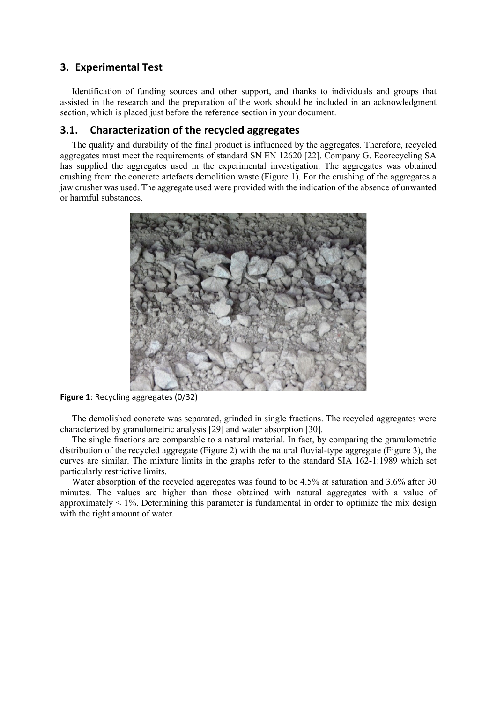## **3. Experimental Test**

Identification of funding sources and other support, and thanks to individuals and groups that assisted in the research and the preparation of the work should be included in an acknowledgment section, which is placed just before the reference section in your document.

# **3.1. Characterization of the recycled aggregates**

The quality and durability of the final product is influenced by the aggregates. Therefore, recycled aggregates must meet the requirements of standard SN EN 12620 [22]. Company G. Ecorecycling SA has supplied the aggregates used in the experimental investigation. The aggregates was obtained crushing from the concrete artefacts demolition waste (Figure 1). For the crushing of the aggregates a jaw crusher was used. The aggregate used were provided with the indication of the absence of unwanted or harmful substances.



**Figure 1**: Recycling aggregates (0/32)

The demolished concrete was separated, grinded in single fractions. The recycled aggregates were characterized by granulometric analysis [29] and water absorption [30].

The single fractions are comparable to a natural material. In fact, by comparing the granulometric distribution of the recycled aggregate (Figure 2) with the natural fluvial-type aggregate (Figure 3), the curves are similar. The mixture limits in the graphs refer to the standard SIA 162-1:1989 which set particularly restrictive limits.

Water absorption of the recycled aggregates was found to be 4.5% at saturation and 3.6% after 30 minutes. The values are higher than those obtained with natural aggregates with a value of approximately  $\lt 1\%$ . Determining this parameter is fundamental in order to optimize the mix design with the right amount of water.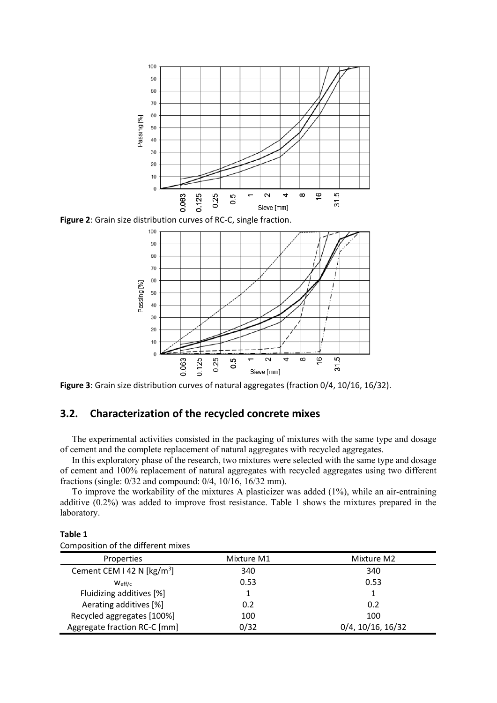

**Figure 2**: Grain size distribution curves of RC‐C, single fraction.



**Figure 3**: Grain size distribution curves of natural aggregates (fraction 0/4, 10/16, 16/32).

# **3.2. Characterization of the recycled concrete mixes**

The experimental activities consisted in the packaging of mixtures with the same type and dosage of cement and the complete replacement of natural aggregates with recycled aggregates.

In this exploratory phase of the research, two mixtures were selected with the same type and dosage of cement and 100% replacement of natural aggregates with recycled aggregates using two different fractions (single: 0/32 and compound: 0/4, 10/16, 16/32 mm).

To improve the workability of the mixtures A plasticizer was added (1%), while an air-entraining additive (0.2%) was added to improve frost resistance. Table 1 shows the mixtures prepared in the laboratory.

| Composition of the different mixes              |            |                   |  |  |
|-------------------------------------------------|------------|-------------------|--|--|
| Properties                                      | Mixture M1 | Mixture M2        |  |  |
| Cement CEM I 42 N $\left[\frac{kg}{m^3}\right]$ | 340        | 340               |  |  |
| $W_{\text{eff/c}}$                              | 0.53       | 0.53              |  |  |
| Fluidizing additives [%]                        |            |                   |  |  |
| Aerating additives [%]                          | 0.2        | 0.2               |  |  |
| Recycled aggregates [100%]                      | 100        | 100               |  |  |
| Aggregate fraction RC-C [mm]                    | 0/32       | 0/4, 10/16, 16/32 |  |  |

**Table 1**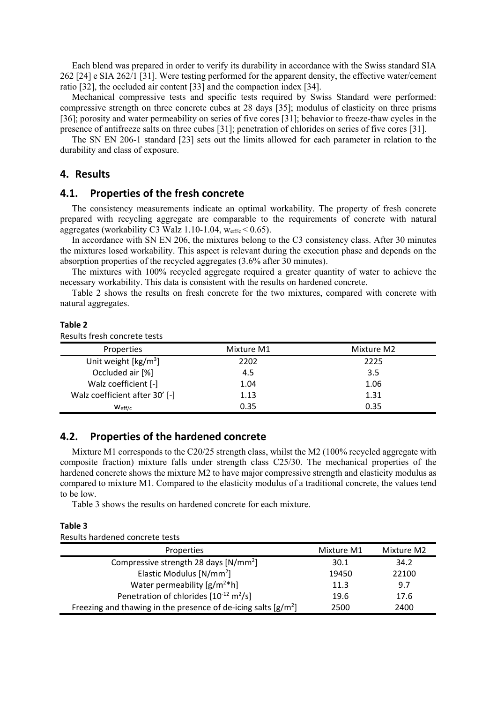Each blend was prepared in order to verify its durability in accordance with the Swiss standard SIA 262 [24] e SIA 262/1 [31]. Were testing performed for the apparent density, the effective water/cement ratio [32], the occluded air content [33] and the compaction index [34].

Mechanical compressive tests and specific tests required by Swiss Standard were performed: compressive strength on three concrete cubes at 28 days [35]; modulus of elasticity on three prisms [36]; porosity and water permeability on series of five cores [31]; behavior to freeze-thaw cycles in the presence of antifreeze salts on three cubes [31]; penetration of chlorides on series of five cores [31].

The SN EN 206-1 standard [23] sets out the limits allowed for each parameter in relation to the durability and class of exposure.

#### **4. Results**

#### **4.1. Properties of the fresh concrete**

The consistency measurements indicate an optimal workability. The property of fresh concrete prepared with recycling aggregate are comparable to the requirements of concrete with natural aggregates (workability C3 Walz 1.10-1.04,  $w_{\text{eff/c}}$  < 0.65).

In accordance with SN EN 206, the mixtures belong to the C3 consistency class. After 30 minutes the mixtures losed workability. This aspect is relevant during the execution phase and depends on the absorption properties of the recycled aggregates (3.6% after 30 minutes).

The mixtures with 100% recycled aggregate required a greater quantity of water to achieve the necessary workability. This data is consistent with the results on hardened concrete.

Table 2 shows the results on fresh concrete for the two mixtures, compared with concrete with natural aggregates.

#### **Table 2**

| Results fresh concrete tests              |            |            |  |  |
|-------------------------------------------|------------|------------|--|--|
| Properties                                | Mixture M1 | Mixture M2 |  |  |
| Unit weight $\left[\frac{kg}{m^3}\right]$ | 2202       | 2225       |  |  |
| Occluded air [%]                          | 4.5        | 3.5        |  |  |
| Walz coefficient [-]                      | 1.04       | 1.06       |  |  |
| Walz coefficient after 30' [-]            | 1.13       | 1.31       |  |  |
| $W_{\text{eff/c}}$                        | 0.35       | 0.35       |  |  |

#### **4.2. Properties of the hardened concrete**

Mixture M1 corresponds to the C20/25 strength class, whilst the M2 (100% recycled aggregate with composite fraction) mixture falls under strength class C25/30. The mechanical properties of the hardened concrete shows the mixture M2 to have major compressive strength and elasticity modulus as compared to mixture M1. Compared to the elasticity modulus of a traditional concrete, the values tend to be low.

Table 3 shows the results on hardened concrete for each mixture.

#### **Table 3**

Results hardened concrete tests

| Properties                                                       | Mixture M1 | Mixture M2 |
|------------------------------------------------------------------|------------|------------|
| Compressive strength 28 days [N/mm <sup>2</sup> ]                | 30.1       | 34.2       |
| Elastic Modulus [N/mm <sup>2</sup> ]                             | 19450      | 22100      |
| Water permeability $[g/m^{2*}h]$                                 | 11.3       | 9.7        |
| Penetration of chlorides $[10^{-12} \text{ m}^2/\text{s}]$       | 19.6       | 17.6       |
| Freezing and thawing in the presence of de-icing salts $[g/m^2]$ | 2500       | 2400       |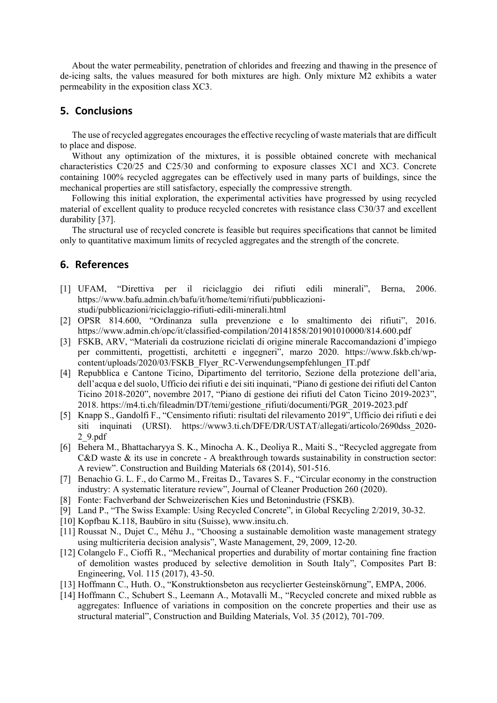About the water permeability, penetration of chlorides and freezing and thawing in the presence of de-icing salts, the values measured for both mixtures are high. Only mixture M2 exhibits a water permeability in the exposition class XC3.

# **5. Conclusions**

The use of recycled aggregates encourages the effective recycling of waste materials that are difficult to place and dispose.

Without any optimization of the mixtures, it is possible obtained concrete with mechanical characteristics C20/25 and C25/30 and conforming to exposure classes XC1 and XC3. Concrete containing 100% recycled aggregates can be effectively used in many parts of buildings, since the mechanical properties are still satisfactory, especially the compressive strength.

Following this initial exploration, the experimental activities have progressed by using recycled material of excellent quality to produce recycled concretes with resistance class C30/37 and excellent durability [37].

The structural use of recycled concrete is feasible but requires specifications that cannot be limited only to quantitative maximum limits of recycled aggregates and the strength of the concrete.

# **6. References**

- [1] UFAM, "Direttiva per il riciclaggio dei rifiuti edili minerali", Berna, 2006. https://www.bafu.admin.ch/bafu/it/home/temi/rifiuti/pubblicazionistudi/pubblicazioni/riciclaggio-rifiuti-edili-minerali.html
- [2] OPSR 814.600, "Ordinanza sulla prevenzione e lo smaltimento dei rifiuti", 2016. https://www.admin.ch/opc/it/classified-compilation/20141858/201901010000/814.600.pdf
- [3] FSKB, ARV, "Materiali da costruzione riciclati di origine minerale Raccomandazioni d'impiego per committenti, progettisti, architetti e ingegneri", marzo 2020. https://www.fskb.ch/wpcontent/uploads/2020/03/FSKB\_Flyer\_RC-Verwendungsempfehlungen\_IT.pdf
- [4] Repubblica e Cantone Ticino, Dipartimento del territorio, Sezione della protezione dell'aria, dell'acqua e del suolo, Ufficio dei rifiuti e dei siti inquinati, "Piano di gestione dei rifiuti del Canton Ticino 2018-2020", novembre 2017, "Piano di gestione dei rifiuti del Caton Ticino 2019-2023", 2018. https://m4.ti.ch/fileadmin/DT/temi/gestione\_rifiuti/documenti/PGR\_2019-2023.pdf
- [5] Knapp S., Gandolfi F., "Censimento rifiuti: risultati del rilevamento 2019", Ufficio dei rifiuti e dei siti inquinati (URSI). https://www3.ti.ch/DFE/DR/USTAT/allegati/articolo/2690dss\_2020- 2\_9.pdf
- [6] Behera M., Bhattacharyya S. K., Minocha A. K., Deoliya R., Maiti S., "Recycled aggregate from C&D waste & its use in concrete - A breakthrough towards sustainability in construction sector: A review". Construction and Building Materials 68 (2014), 501-516.
- [7] Benachio G. L. F., do Carmo M., Freitas D., Tavares S. F., "Circular economy in the construction industry: A systematic literature review", Journal of Cleaner Production 260 (2020).
- [8] Fonte: Fachverband der Schweizerischen Kies und Betonindustrie (FSKB).
- [9] Land P., "The Swiss Example: Using Recycled Concrete", in Global Recycling 2/2019, 30-32.
- [10] Kopfbau K.118, Baubüro in situ (Suisse), www.insitu.ch.
- [11] Roussat N., Dujet C., Méhu J., "Choosing a sustainable demolition waste management strategy using multicriteria decision analysis", Waste Management, 29, 2009, 12-20.
- [12] Colangelo F., Cioffi R., "Mechanical properties and durability of mortar containing fine fraction of demolition wastes produced by selective demolition in South Italy", Composites Part B: Engineering, Vol. 115 (2017), 43-50.
- [13] Hoffmann C., Huth. O., "Konstruktionsbeton aus recyclierter Gesteinskörnung", EMPA, 2006.
- [14] Hoffmann C., Schubert S., Leemann A., Motavalli M., "Recycled concrete and mixed rubble as aggregates: Influence of variations in composition on the concrete properties and their use as structural material", Construction and Building Materials, Vol. 35 (2012), 701-709.